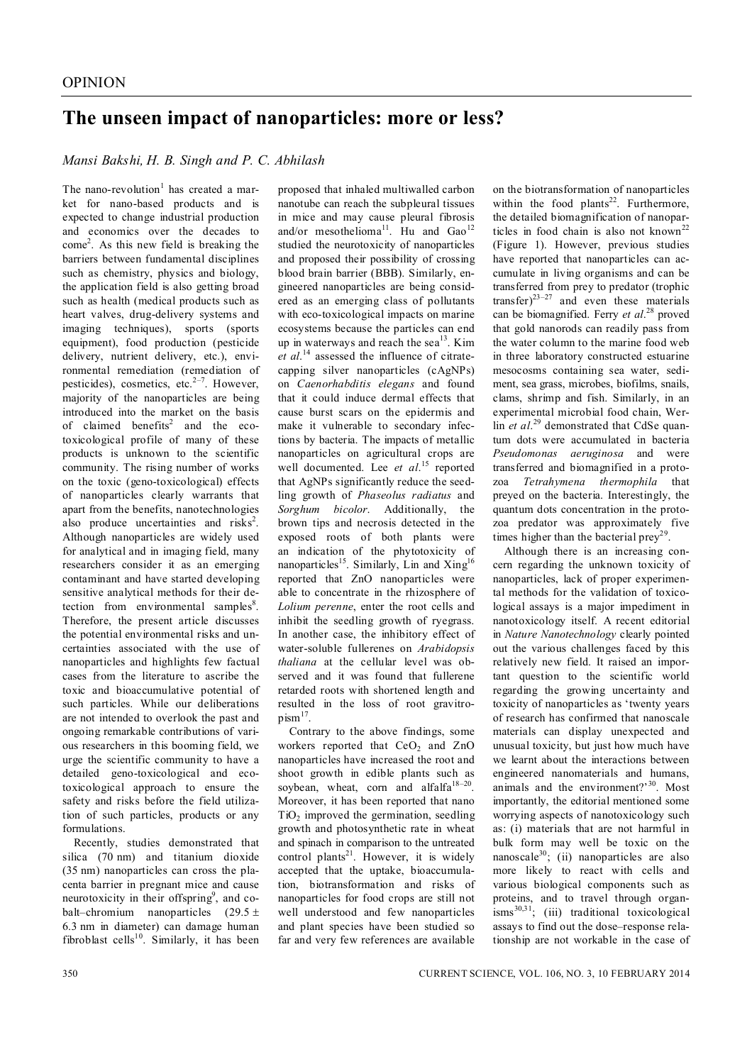## **The unseen impact of nanoparticles: more or less?**

### *Mansi Bakshi, H. B. Singh and P. C. Abhilash*

The nano-revolution<sup>1</sup> has created a market for nano-based products and is expected to change industrial production and economics over the decades to come<sup>2</sup> . As this new field is breaking the barriers between fundamental disciplines such as chemistry, physics and biology, the application field is also getting broad such as health (medical products such as heart valves, drug-delivery systems and imaging techniques), sports (sports equipment), food production (pesticide delivery, nutrient delivery, etc.), environmental remediation (remediation of pesticides), cosmetics, etc. $2^{-7}$ . However, majority of the nanoparticles are being introduced into the market on the basis of claimed benefits<sup>2</sup> and the ecotoxicological profile of many of these products is unknown to the scientific community. The rising number of works on the toxic (geno-toxicological) effects of nanoparticles clearly warrants that apart from the benefits, nanotechnologies also produce uncertainties and risks<sup>2</sup>. Although nanoparticles are widely used for analytical and in imaging field, many researchers consider it as an emerging contaminant and have started developing sensitive analytical methods for their detection from environmental samples<sup>8</sup>. Therefore, the present article discusses the potential environmental risks and uncertainties associated with the use of nanoparticles and highlights few factual cases from the literature to ascribe the toxic and bioaccumulative potential of such particles. While our deliberations are not intended to overlook the past and ongoing remarkable contributions of various researchers in this booming field, we urge the scientific community to have a detailed geno-toxicological and ecotoxicological approach to ensure the safety and risks before the field utilization of such particles, products or any formulations.

Recently, studies demonstrated that silica (70 nm) and titanium dioxide (35 nm) nanoparticles can cross the placenta barrier in pregnant mice and cause neurotoxicity in their offspring<sup>9</sup>, and cobalt–chromium nanoparticles  $(29.5 \pm$ 6.3 nm in diameter) can damage human fibroblast cells<sup>10</sup>. Similarly, it has been proposed that inhaled multiwalled carbon nanotube can reach the subpleural tissues in mice and may cause pleural fibrosis and/or mesothelioma<sup>11</sup>. Hu and  $\text{Gao}^{12}$ studied the neurotoxicity of nanoparticles and proposed their possibility of crossing blood brain barrier (BBB). Similarly, engineered nanoparticles are being considered as an emerging class of pollutants with eco-toxicological impacts on marine ecosystems because the particles can end up in waterways and reach the sea<sup>13</sup>. Kim *et al*. <sup>14</sup> assessed the influence of citratecapping silver nanoparticles (cAgNPs) on *Caenorhabditis elegans* and found that it could induce dermal effects that cause burst scars on the epidermis and make it vulnerable to secondary infections by bacteria. The impacts of metallic nanoparticles on agricultural crops are well documented. Lee *et al*. <sup>15</sup> reported that AgNPs significantly reduce the seedling growth of *Phaseolus radiatus* and *Sorghum bicolor*. Additionally, the brown tips and necrosis detected in the exposed roots of both plants were an indication of the phytotoxicity of nanoparticles<sup>15</sup>. Similarly, Lin and Xing<sup>16</sup> reported that ZnO nanoparticles were able to concentrate in the rhizosphere of *Lolium perenne*, enter the root cells and inhibit the seedling growth of ryegrass. In another case, the inhibitory effect of water-soluble fullerenes on *Arabidopsis thaliana* at the cellular level was observed and it was found that fullerene retarded roots with shortened length and resulted in the loss of root gravitro-

 $p$ ism $^{17}$ . Contrary to the above findings, some workers reported that  $CeO<sub>2</sub>$  and  $ZnO$ nanoparticles have increased the root and shoot growth in edible plants such as soybean, wheat, corn and alfalfa<sup>18-20</sup>. Moreover, it has been reported that nano  $TiO<sub>2</sub>$  improved the germination, seedling growth and photosynthetic rate in wheat and spinach in comparison to the untreated control plants<sup>21</sup>. However, it is widely accepted that the uptake, bioaccumulation, biotransformation and risks of nanoparticles for food crops are still not well understood and few nanoparticles and plant species have been studied so far and very few references are available

on the biotransformation of nanoparticles within the food plants<sup>22</sup>. Furthermore, the detailed biomagnification of nanoparticles in food chain is also not known<sup>22</sup> (Figure 1). However, previous studies have reported that nanoparticles can accumulate in living organisms and can be transferred from prey to predator (trophic transfer $)^{23-27}$  and even these materials can be biomagnified. Ferry *et al*. <sup>28</sup> proved that gold nanorods can readily pass from the water column to the marine food web in three laboratory constructed estuarine mesocosms containing sea water, sediment, sea grass, microbes, biofilms, snails, clams, shrimp and fish. Similarly, in an experimental microbial food chain, Werlin *et al*. <sup>29</sup> demonstrated that CdSe quantum dots were accumulated in bacteria *Pseudomonas aeruginosa* and were transferred and biomagnified in a protozoa *Tetrahymena thermophila* that preyed on the bacteria. Interestingly, the quantum dots concentration in the protozoa predator was approximately five times higher than the bacterial prey<sup>29</sup>.

Although there is an increasing concern regarding the unknown toxicity of nanoparticles, lack of proper experimental methods for the validation of toxicological assays is a major impediment in nanotoxicology itself. A recent editorial in *Nature Nanotechnology* clearly pointed out the various challenges faced by this relatively new field. It raised an important question to the scientific world regarding the growing uncertainty and toxicity of nanoparticles as 'twenty years of research has confirmed that nanoscale materials can display unexpected and unusual toxicity, but just how much have we learnt about the interactions between engineered nanomaterials and humans, animals and the environment?'<sup>30</sup>. Most importantly, the editorial mentioned some worrying aspects of nanotoxicology such as: (i) materials that are not harmful in bulk form may well be toxic on the nanoscale $30$ ; (ii) nanoparticles are also more likely to react with cells and various biological components such as proteins, and to travel through organ- $\lim_{x \to 30,31}$ ; (iii) traditional toxicological assays to find out the dose–response relationship are not workable in the case of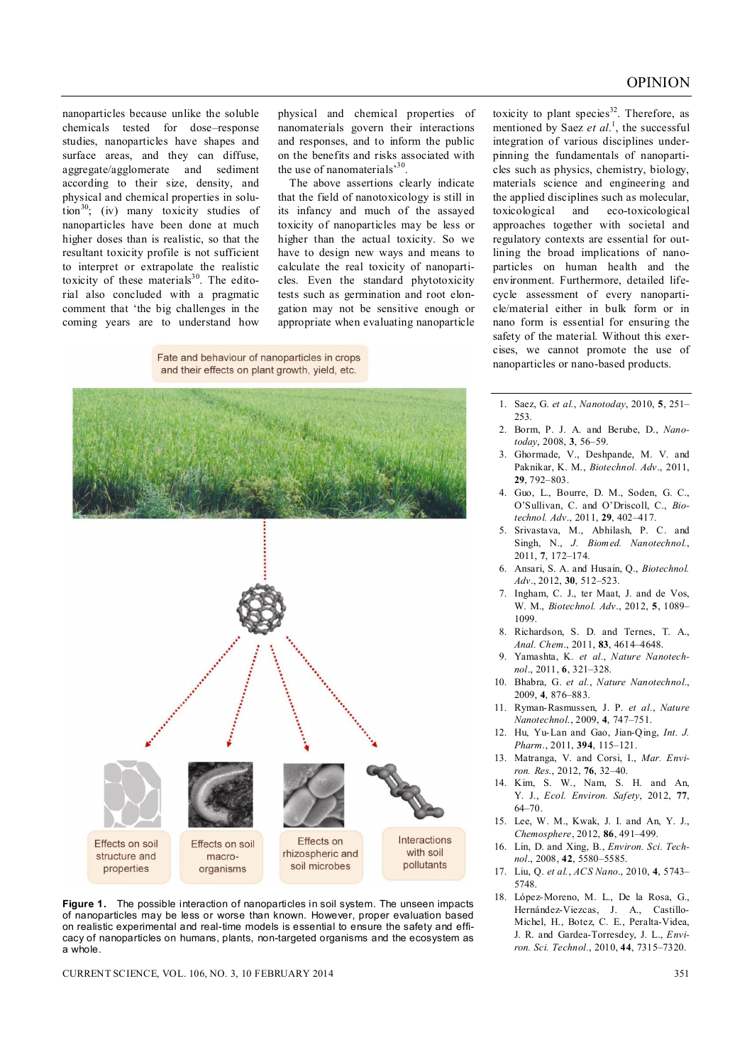nanoparticles because unlike the soluble chemicals tested for dose–response studies, nanoparticles have shapes and surface areas, and they can diffuse, aggregate/agglomerate and sediment according to their size, density, and physical and chemical properties in solution<sup>30</sup>; (iv) many toxicity studies of nanoparticles have been done at much higher doses than is realistic, so that the resultant toxicity profile is not sufficient to interpret or extrapolate the realistic toxicity of these materials $30$ . The editorial also concluded with a pragmatic comment that 'the big challenges in the coming years are to understand how

physical and chemical properties of nanomaterials govern their interactions and responses, and to inform the public on the benefits and risks associated with the use of nanomaterials<sup>'30</sup>.

The above assertions clearly indicate that the field of nanotoxicology is still in its infancy and much of the assayed toxicity of nanoparticles may be less or higher than the actual toxicity. So we have to design new ways and means to calculate the real toxicity of nanoparticles. Even the standard phytotoxicity tests such as germination and root elongation may not be sensitive enough or appropriate when evaluating nanoparticle

Fate and behaviour of nanoparticles in crops and their effects on plant growth, yield, etc.



**Figure 1.** The possible interaction of nanoparticles in soil system. The unseen impacts of nanoparticles may be less or worse than known. However, proper evaluation based on realistic experimental and real-time models is essential to ensure the safety and efficacy of nanoparticles on humans, plants, non-targeted organisms and the ecosystem as a whole.

CURRENT SCIENCE, VOL. 106, NO. 3, 10 FEBRUARY 2014 351

toxicity to plant species<sup>32</sup>. Therefore, as mentioned by Saez *et al*. 1 , the successful integration of various disciplines underpinning the fundamentals of nanoparticles such as physics, chemistry, biology, materials science and engineering and the applied disciplines such as molecular, toxicological and eco-toxicological approaches together with societal and regulatory contexts are essential for outlining the broad implications of nanoparticles on human health and the environment. Furthermore, detailed lifecycle assessment of every nanoparticle/material either in bulk form or in nano form is essential for ensuring the safety of the material. Without this exercises, we cannot promote the use of nanoparticles or nano-based products.

- 1. Saez, G. *et al.*, *Nanotoday*, 2010, **5**, 251– 253.
- 2. Borm, P. J. A. and Berube, D., *Nanotoday*, 2008, **3**, 56–59.
- 3. Ghormade, V., Deshpande, M. V. and Paknikar, K. M., *Biotechnol. Adv*., 2011, **29**, 792–803.
- 4. Guo, L., Bourre, D. M., Soden, G. C., O'Sullivan, C. and O'Driscoll, C., *Biotechnol. Adv*., 2011, **29**, 402–417.
- 5. Srivastava, M., Abhilash, P. C. and Singh, N., *J. Biomed. Nanotechnol.*, 2011, **7**, 172–174.
- 6. Ansari, S. A. and Husain, Q., *Biotechnol. Adv*., 2012, **30**, 512–523.
- 7. Ingham, C. J., ter Maat, J. and de Vos, W. M., *Biotechnol. Adv*., 2012, **5**, 1089– 1099.
- 8. Richardson, S. D. and Ternes, T. A., *Anal. Chem*., 2011, **83**, 4614–4648.
- 9. Yamashta, K. *et al.*, *Nature Nanotechnol*., 2011, **6**, 321–328.
- 10. Bhabra, G. *et al.*, *Nature Nanotechnol*., 2009, **4**, 876–883.
- 11. Ryman-Rasmussen, J. P. *et al.*, *Nature Nanotechnol*., 2009, **4**, 747–751.
- 12. Hu, Yu-Lan and Gao, Jian-Qing, *Int. J. Pharm*., 2011, **394**, 115–121.
- 13. Matranga, V. and Corsi, I., *Mar. Environ. Res.*, 2012, **76**, 32–40.
- 14. Kim, S. W., Nam, S. H. and An, Y. J., *Ecol. Environ. Safety*, 2012, **77**, 64–70.
- 15. Lee, W. M., Kwak, J. I. and An, Y. J., *Chemosphere*, 2012, **86**, 491–499.
- 16. Lin, D. and Xing, B., *Environ. Sci. Technol*., 2008, **42**, 5580–5585.
- 17. Liu, Q. *et al.*, *ACS Nano*., 2010, **4**, 5743– 5748.
- 18. López-Moreno, M. L., De la Rosa, G., Hernández-Viezcas, J. A., Castillo-Michel, H., Botez, C. E., Peralta-Videa, J. R. and Gardea-Torresdey, J. L., *Environ. Sci. Technol.*, 2010, **44**, 7315–7320.